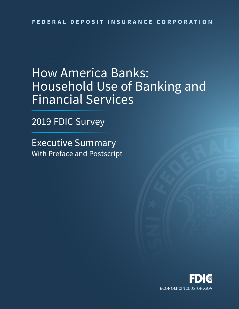# How America Banks: Household Use of Banking and Financial Services

2019 FDIC Survey

Executive Summary With Preface and Postscript

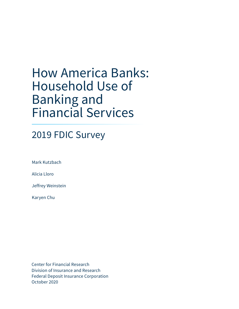# How America Banks: Household Use of Banking and Financial Services

# 2019 FDIC Survey

Mark Kutzbach

Alicia Lloro

Jeffrey Weinstein

Karyen Chu

Center for Financial Research Division of Insurance and Research Federal Deposit Insurance Corporation October 2020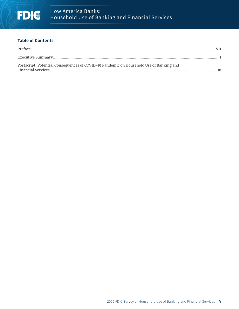# **Table of Contents**

| Postscript: Potential Consequences of COVID-19 Pandemic on Household Use of Banking and |  |
|-----------------------------------------------------------------------------------------|--|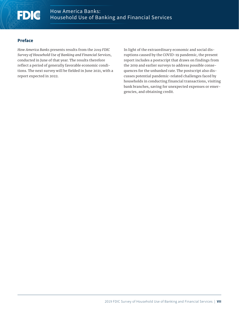# <span id="page-6-0"></span>FDIC

# **Preface**

*How America Banks* presents results from the *2019 FDIC Survey of Household Use of Banking and Financial Services*, conducted in June of that year. The results therefore reflect a period of generally favorable economic conditions. The next survey will be fielded in June 2021, with a report expected in 2022.

In light of the extraordinary economic and social disruptions caused by the COVID-19 pandemic, the present report includes a postscript that draws on findings from the 2019 and earlier surveys to address possible consequences for the unbanked rate. The postscript also discusses potential pandemic-related challenges faced by households in conducting financial transactions, visiting bank branches, saving for unexpected expenses or emergencies, and obtaining credit.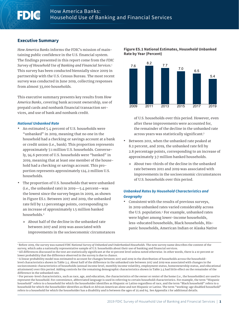# <span id="page-8-0"></span>**Executive Summary**

*How America Banks* informs the FDIC's mission of maintaining public confidence in the U.S. financial system. The findings presented in this report come from the *FDIC Survey of Household Use of Banking and Financial Services*. 1 This survey has been conducted biennially since 2009 in partnership with the U.S. Census Bureau. The most recent survey was conducted in June 2019, collecting responses from almost 33,000 households.

This executive summary presents key results from *How America Banks*, covering bank account ownership, use of prepaid cards and nonbank financial transaction services, and use of bank and nonbank credit.

#### *National Unbanked Rate*

- **•** An estimated 5.4 percent of U.S. households were "unbanked" in 2019, meaning that no one in the household had a checking or savings account at a bank or credit union (i.e., bank). This proportion represents approximately 7.1 million U.S. households. Conversely, 94.6 percent of U.S. households were "banked" in 2019, meaning that at least one member of the household had a checking or savings account. This proportion represents approximately 124.2 million U.S. households.
- **•** The proportion of U.S. households that were unbanked (i.e., the unbanked rate) in  $2019 - 5.4$  percent-was the lowest since the survey began in 2009, as shown in Figure ES.1. Between 2017 and 2019, the unbanked rate fell by 1.1 percentage points, corresponding to an increase of approximately 1.5 million banked households.2
	- » About half of the decline in the unbanked rate between 2017 and 2019 was associated with improvements in the socioeconomic circumstances



#### **Figure ES.1 National Estimates, Household Unbanked Rate by Year (Percent)**

of U.S. households over this period. However, even after these improvements were accounted for, the remainder of the decline in the unbanked rate across years was statistically significant.3

- **•** Between 2011, when the unbanked rate peaked at 8.2 percent, and 2019, the unbanked rate fell by 2.8 percentage points, corresponding to an increase of approximately 3.7 million banked households.
	- » About two-thirds of the decline in the unbanked rate between 2011 and 2019 was associated with improvements in the socioeconomic circumstances of U.S. households over this period.

# *Unbanked Rates by Household Characteristics and Geography*

**•** Consistent with the results of previous surveys, in 2019 unbanked rates varied considerably across the U.S. population.<sup>4</sup> For example, unbanked rates were higher among lower-income households, less-educated households, Black households, Hispanic households, American Indian or Alaska Native

1 Before 2019, the survey was named *FDIC National Survey of Unbanked and Underbanked Households.* The new survey name describes the content of the survey, which asks a nationally representative sample of U.S. households about their use of banking and financial services.

<sup>&</sup>lt;sup>2</sup> All differences discussed in the text are statistically significant at the 10 percent level unless noted otherwise. In other words, there is a 10 percent or lower probability that the difference observed in the survey is due to chance.

<sup>3</sup> A linear probability model was estimated to account for changes between 2017 and 2019 in the distribution of households across the householdlevel characteristics shown in Table 3.4. About half of the difference in the unbanked rate between 2017 and 2019 was associated with changes in the socioeconomic characteristics of households (annual income level, monthly income volatility, employment status, homeownership status, and educational attainment) over this period. Adding controls for the remaining demographic characteristics shown in Table 3.4 had little effect on the remainder of the difference in the unbanked rate.

<sup>4</sup> For person-level characteristics, such as race, age, and education, the characteristics of the owner or renter of the home (i.e., the householder) are used to represent the household. For convenience, abbreviated language is used in referring to certain household characteristics. For example, the term "Hispanic household" refers to a household for which the householder identifies as Hispanic or Latino regardless of race, and the term "Black household" refers to a household for which the householder identifies as Black or African American alone and not Hispanic or Latino. The term "working-age disabled household" refers to a household for which the householder has a disability and is between the ages of 25 and 64. See Appendix 1 for additional details.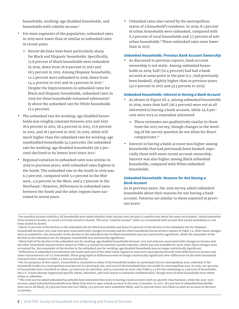households, working-age disabled households, and households with volatile income.5

- **•** For most segments of the population, unbanked rates in 2019 were lower than or similar to unbanked rates in recent years.
	- » Recent declines have been particularly sharp for Black and Hispanic households. Specifically, 13.8 percent of Black households were unbanked in 2019, down from 16.8 percent in 2017 and 18.5 percent in 2015. Among Hispanic households, 12.2 percent were unbanked in 2019, down from 14.4 percent in 2017 and 16.3 percent in 2015.6 Despite the improvements in unbanked rates for Black and Hispanic households, unbanked rates in 2019 for these households remained substantially above the unbanked rate for White households (2.5 percent).
- **•** The unbanked rate for working-age disabled households was roughly constant between 2011 and 2017: 18.9 percent in 2011, 18.4 percent in 2013, 17.6 percent in 2015, and 18.1 percent in 2017. In 2019, while still much higher than the unbanked rate for working-age nondisabled households (4.5 percent), the unbanked rate for working-age disabled households (16.2 percent) declined to its lowest level since 2011.7
- **•** Regional variation in unbanked rates was similar in 2019 to previous years, with unbanked rates highest in the South. The unbanked rate in the South in 2019 was 6.2 percent, compared with 5.0 percent in the Midwest, 4.9 percent in the West, and 4.7 percent in the Northeast.8 However, differences in unbanked rates between the South and the other regions have narrowed in recent years.

**•** Unbanked rates also varied by the metropolitan status of a household's residence. In 2019, 8.1 percent of urban households were unbanked, compared with 6.2 percent of rural households and 3.7 percent of suburban households.9 These unbanked rates were lower than in 2017.

#### *Unbanked Households: Previous Bank Account Ownership*

**•** As discussed in previous reports, bank account ownership is not static. Among unbanked households in 2019, half (50.4 percent) had had a bank account at some point in the past (i.e., had previously been banked), slightly higher than in previous years (47.0 percent in 2017 and 47.3 percent in 2015).

#### *Unbanked Households: Interest in Having a Bank Account*

- **•** As shown in Figure ES.2, among unbanked households in 2019, more than half (56.2 percent) were not at all interested in having a bank account, while 24.8 percent were very or somewhat interested.
	- » These estimates are qualitatively similar to those from the 2017 survey, though changes in the wording of the survey question do not allow for direct comparisons.10
- **•** Interest in having a bank account was higher among households that had previously been banked, especially those with more recent account ownership. Interest was also higher among Black unbanked households, compared with White unbanked households.

# *Unbanked Households: Reasons for Not Having a Bank Account*

As in previous years, the 2019 survey asked unbanked households about their reasons for not having a bank account. Patterns are similar to those reported in previous years.

<sup>5</sup> For monthly income volatility, all households were asked whether their income over the past 12 months was about the same each month, varied somewhat from month to month, or varied a lot from month to month. The term "volatile income" refers to a household with income that varied somewhat or a lot from month to month.

<sup>6</sup> About 70 percent of the decline in the unbanked rate for Black households and about 60 percent of the decline in the unbanked rate for Hispanic households between 2015 and 2019 were associated with changes in income and the other household characteristics shown in Table 3.4. After these changes were accounted for, the remainder of the decline in the unbanked rate for Black households was not statistically significant, while the remainder of the decline in the unbanked rate for Hispanic households was statistically significant.

<sup>7</sup> About half of the decline in the unbanked rate for working-age disabled households between 2011 and 2019 was associated with changes in income and the other household characteristics shown in Table 3.4 (except for monthly income volatility, which was not available for 2011). After these changes were accounted for, the remainder of the decline in the unbanked rate for working-age disabled households was no longer statistically significant. <sup>8</sup> Differences in unbanked rates between the South and each of the other three regions in 2019 were associated primarily with differences in income and other characteristics of U.S. households. These geographical differences were no longer statistically significant after differences in the other household characteristics shown in Table 3.4 were accounted for.

<sup>9</sup> For the purposes of this report, a household is classified as urban if the household resides in a principal city of a metropolitan area, suburban if the household resides in a metropolitan area but not in a principal city, and rural if the household does not reside in a metropolitan area. In 2019, 29.2 percent of households were classified as urban, 43.6 percent as suburban, and 13.0 percent as rural. (See Table 3.4.) For the remaining 14.2 percent of households, the U.S. Census Bureau suppressed specific urban, suburban, and rural status to maintain confidentiality, though most of these households were either urban or suburban.

<sup>&</sup>lt;sup>10</sup> The 2019 survey asked unbanked households how interested they were in having a bank account (with no specific time horizon), while the 2013-2017 surveys asked unbanked households how likely they were to open a bank account in the next 12 months. In 2017, 58.7 percent of unbanked households were not at all likely, 16.3 percent were not very likely, 15.6 percent were somewhat likely, and 9.5 percent were very likely to open an account in the next 12 months.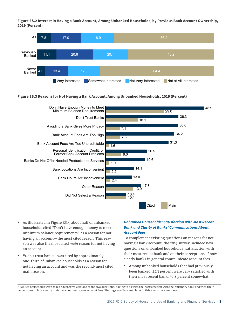**Figure ES.2 Interest in Having a Bank Account, Among Unbanked Households, by Previous Bank Account Ownership, 2019 (Percent)**



#### **Figure ES.3 Reasons for Not Having a Bank Account, Among Unbanked Households, 2019 (Percent)**



- **•** As illustrated in Figure ES.3, about half of unbanked households cited "Don't have enough money to meet minimum balance requirements" as a reason for not having an account—the most cited reason. This reason was also the most cited *main* reason for not having an account.
- **•** "Don't trust banks" was cited by approximately one-third of unbanked households as a reason for not having an account and was the second-most cited main reason.

# *Unbanked Households: Satisfaction With Most Recent Bank and Clarity of Banks' Communications About Account Fees*

To complement existing questions on reasons for not having a bank account, the 2019 survey included new questions on unbanked households' satisfaction with their most recent bank and on their perceptions of how clearly banks in general communicate account fees.<sup>11</sup>

**•** Among unbanked households that had previously been banked, 24.3 percent were very satisfied with their most recent bank, 30.8 percent somewhat

<sup>11</sup> Banked households were asked alternative versions of the two questions, having to do with their satisfaction with their primary bank and with their perceptions of how clearly their bank communicates account fees. Findings are discussed later in this executive summary.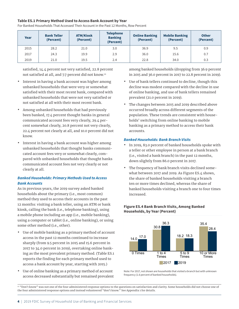#### **Table ES.1 Primary Method Used to Access Bank Account by Year**

**Year Bank Teller (Percent) ATM/Kiosk (Percent) Telephone Banking (Percent) Online Banking (Percent) Mobile Banking (Percent) Other (Percent)** 2015 | 28.2 | 21.0 | 3.0 | 36.9 | 9.5 | 0.9 2017 | 24.3 | 19.9 | 2.9 | 36.0 | 15.6 | 0.7 2019 21.0 19.5 2.4 22.8 34.0 0.3

For Banked Households That Accessed Their Account in the Past 12 Months, Row Percent

satisfied, 14.4 percent not very satisfied, 22.8 percent not satisfied at all, and 7.7 percent did not know.12

- **•** Interest in having a bank account was higher among unbanked households that were very or somewhat satisfied with their most recent bank, compared with unbanked households that were not very satisfied or not satisfied at all with their most recent bank.
- **•** Among unbanked households that had previously been banked, 17.4 percent thought banks in general communicated account fees very clearly, 29.4 percent somewhat clearly, 20.8 percent not very clearly, 22.4 percent not clearly at all, and 10.0 percent did not know.
- **•** Interest in having a bank account was higher among unbanked households that thought banks communicated account fees very or somewhat clearly, compared with unbanked households that thought banks communicated account fees not very clearly or not clearly at all.

# *Banked Households: Primary Methods Used to Access Bank Accounts*

As in previous years, the 2019 survey asked banked households about the primary (i.e., most common) method they used to access their accounts in the past 12 months: visiting a bank teller, using an ATM or bank kiosk, calling the bank (i.e., telephone banking), using a mobile phone including an app (i.e., mobile banking), using a computer or tablet (i.e., online banking), or using some other method (i.e., other).

- **•** Use of mobile banking as a primary method of account access in the past 12 months continued to increase sharply (from 9.5 percent in 2015 and 15.6 percent in 2017 to 34.0 percent in 2019), overtaking online banking as the most prevalent primary method. (Table ES.1 reports the finding for each primary method used to access a bank account by year, starting with 2015.)
- **•** Use of online banking as a primary method of account access decreased substantially but remained prevalent

among banked households (dropping from 36.9 percent in 2015 and 36.0 percent in 2017 to 22.8 percent in 2019).

- **•** Use of bank tellers continued to decline, though this decline was modest compared with the decline in use of online banking, and use of bank tellers remained prevalent (21.0 percent in 2019).
- **•** The changes between 2015 and 2019 described above occurred broadly across different segments of the population. These trends are consistent with households' switching from online banking to mobile banking as a primary method to access their bank accounts.

### *Banked Households: Bank Branch Visits*

- **•** In 2019, 83.0 percent of banked households spoke with a teller or other employee in person at a bank branch (i.e., visited a bank branch) in the past 12 months, down slightly from 86.0 percent in 2017.
- **•** The frequency of bank branch visits declined somewhat between 2017 and 2019. As Figure ES.4 shows, the share of banked households visiting a branch ten or more times declined, whereas the share of banked households visiting a branch one to four times increased.

# **Figure ES.4 Bank Branch Visits, Among Banked Households, by Year (Percent)**



Note: For 2017, not shown are households that visited a branch but with unknown frequency (1.6 percent of banked households).

12 "Don't know" was not one of the four administered response options to the questions on satisfaction and clarity. Some households did not choose one of the four administered response options and instead volunteered "don't know." See Appendix 1 for details.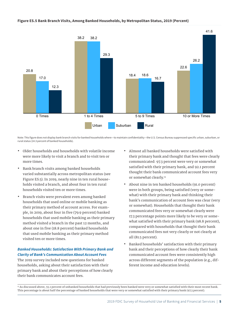#### **Figure ES.5 Bank Branch Visits, Among Banked Households, by Metropolitan Status, 2019 (Percent)**



Note: This figure does not display bank branch visits for banked households where—to maintain confidentiality—the U.S. Census Bureau suppressed specific urban, suburban, or rural status (14.3 percent of banked households).

- **•** Older households and households with volatile income were more likely to visit a branch and to visit ten or more times.
- **•** Bank branch visits among banked households varied substantially across metropolitan status (see Figure ES.5). In 2019, nearly nine in ten rural households visited a branch, and about four in ten rural households visited ten or more times.
- **•** Branch visits were prevalent even among banked households that used online or mobile banking as their primary method of account access. For example, in 2019, about four in five (79.9 percent) banked households that used mobile banking as their primary method visited a branch in the past 12 months, and about one in five (18.8 percent) banked households that used mobile banking as their primary method visited ten or more times.

# *Banked Households: Satisfaction With Primary Bank and Clarity of Bank's Communication About Account Fees*

The 2019 survey included new questions for banked households, asking about their satisfaction with their primary bank and about their perceptions of how clearly their bank communicates account fees.

- **•** Almost all banked households were satisfied with their primary bank and thought that fees were clearly communicated: 97.3 percent were very or somewhat satisfied with their primary bank, and 92.1 percent thought their bank communicated account fees very or somewhat clearly.<sup>13</sup>
- **•** About nine in ten banked households (91.0 percent) were in both groups, being satisfied (very or somewhat) with their primary bank and thinking their bank's communication of account fees was clear (very or somewhat). Households that thought their bank communicated fees very or somewhat clearly were 17.3 percentage points more likely to be very or somewhat satisfied with their primary bank (98.8 percent), compared with households that thought their bank communicated fees not very clearly or not clearly at all (81.5 percent).
- **•** Banked households' satisfaction with their primary bank and their perceptions of how clearly their bank communicated account fees were consistently high across different segments of the population (e.g., different income and education levels).

<sup>13</sup> As discussed above, 55.1 percent of unbanked households that had previously been banked were very or somewhat satisfied with their most recent bank. This percentage is about half the percentage of banked households that were very or somewhat satisfied with their primary bank (97.3 percent).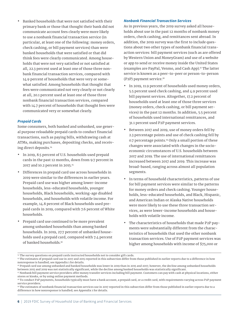**•** Banked households that were not satisfied with their primary bank or those that thought their bank did not communicate account fees clearly were more likely to use a nonbank financial transaction service (in particular, at least one of the following: money orders, check cashing, or bill payment services) than were banked households that were satisfied or that did think fees were clearly communicated. Among households that were not very satisfied or not satisfied at all, 22.3 percent used at least one of those three nonbank financial transaction services, compared with 14.9 percent of households that were very or somewhat satisfied. Among households that thought that fees were communicated not very clearly or not clearly at all, 20.1 percent used at least one of those three nonbank financial transaction services, compared with 14.7 percent of households that thought fees were communicated very or somewhat clearly.

#### *Prepaid Cards*

Some consumers, both banked and unbanked, use general purpose reloadable prepaid cards to conduct financial transactions, such as paying bills, withdrawing cash at ATMs, making purchases, depositing checks, and receiving direct deposits.14

- **•** In 2019, 8.5 percent of U.S. households used prepaid cards in the past 12 months, down from 9.7 percent in 2017 and 10.2 percent in 2015.15
- **•** Differences in prepaid card use across households in 2019 were similar to the differences in earlier years. Prepaid card use was higher among lower-income households, less-educated households, younger households, Black households, working-age disabled households, and households with volatile income. For example, 14.8 percent of Black households used prepaid cards in 2019, compared with 7.6 percent of White households.
- **•** Prepaid card use continued to be more prevalent among unbanked households than among banked households. In 2019, 27.7 percent of unbanked households used a prepaid card, compared with 7.4 percent of banked households.16

### *Nonbank Financial Transaction Services*

As in previous years, the 2019 survey asked all households about use in the past 12 months of nonbank money orders, check cashing, and remittances sent abroad. In addition, the 2019 survey was the first to include questions about two other types of nonbank financial transaction services: bill payment services (such as are offered by Western Union and MoneyGram) and use of a website or app to send or receive money inside the United States (examples are PayPal, Venmo, and Cash App).<sup>17</sup> The latter service is known as a peer-to-peer or person-to-person (P2P) payment service.18

- **•** In 2019, 11.9 percent of households used money orders, 5.5 percent used check cashing, and 4.9 percent used bill payment services. Altogether, 17.2 percent of households used at least one of those three services (money orders, check cashing, or bill payment services) in the past 12 months. In addition, 5.5 percent of households used international remittances, and 31.1 percent used P2P payment services.
- **•** Between 2017 and 2019, use of money orders fell by 2.3 percentage points and use of check cashing fell by 0.7 percentage points.19 Only a small portion of these changes were associated with changes in the socioeconomic circumstances of U.S. households between 2017 and 2019. The use of international remittances increased between 2017 and 2019. This increase was broad-based, ranging across almost all population segments.
- **•** In terms of household characteristics, patterns of use for bill payment services were similar to the patterns for money orders and check cashing. Younger households, less-educated households, and Black, Hispanic, and American Indian or Alaska Native households were more likely to use these three transaction services, as were lower-income households and households with volatile income.
- **•** The characteristics of households that made P2P payments were substantially different from the characteristics of households that used the other nonbank transaction services. Use of P2P payment services was higher among households with income of \$75,000 or

<sup>&</sup>lt;sup>14</sup> The survey questions on prepaid cards instructed households not to consider gift cards.

<sup>&</sup>lt;sup>15</sup> The estimates of prepaid card use in 2017 and 2015 reported in this subsection differ from those published in earlier reports due to a difference in how nonresponse is handled; see Appendix 1 for details.

<sup>&</sup>lt;sup>16</sup> Prepaid card use among unbanked and banked households was lower in 2019 than in 2015 and 2017; however, the decline among unbanked households between 2015 and 2019 was not statistically significant, while the decline among banked households was statistically significant.

<sup>17</sup> Nonbank bill payment service providers offer money transfer services including bill payment. Customers can pay with cash at physical locations, either stores or kiosks, or by using online payment methods.

<sup>&</sup>lt;sup>18</sup> To conduct P2P payments, households typically must have a bank account, a prepaid card, or a credit card, with requirements varying across P2P payment service providers.

<sup>&</sup>lt;sup>19</sup> The estimates of nonbank financial transaction services use in 2017 reported in this subsection differ from those published in earlier reports due to a difference in how nonresponse is handled; see Appendix 1 for details.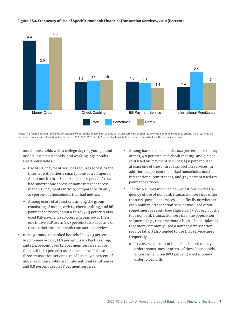

#### **Figure ES.6 Frequency of Use of Specific Nonbank Financial Transaction Services, 2019 (Percent)**

Notes: This figure does not report the percentage of households that did not use the particular service in the past 12 months. For nonbank money orders, check cashing, bill payment services, and international remittances, 88.1, 94.5, 95.1, and 94.5 percent of households, respectively, did not use the particular service.

more, households with a college degree, younger and middle-aged households, and working-age nondisabled households.

- » Use of P2P payment services requires access to the internet with either a smartphone or a computer. About one in three households (33.9 percent) that had smartphone access or home internet access made P2P payments in 2019, compared with only 2.9 percent of households that had neither.
- » Among users of at least one among the group consisting of money orders, check cashing, and bill payment services, about a third (32.3 percent) also used P2P payment services, whereas fewer than one in five P2P users (17.9 percent) also used any of those other three nonbank transaction services.
- **•** In 2019 among unbanked households, 42.3 percent used money orders, 31.9 percent used check cashing, and 14.4 percent used bill payment services; more than half (56.1 percent) used at least one of these three transaction services. In addition, 9.4 percent of unbanked households used international remittances, and 8.8 percent used P2P payment services.
- **•** Among banked households, 10.2 percent used money orders, 4.0 percent used check cashing, and 4.4 percent used bill payment services; 15.0 percent used at least one of these three transaction services. In addition, 5.3 percent of banked households used international remittances, and 32.3 percent used P2P payment services.
- **•** The 2019 survey included new questions on the frequency of use of nonbank transaction services other than P2P payment services, specifically on whether each nonbank transaction service was used often, sometimes, or rarely (see Figure ES.6). For each of the four nonbank transaction services, the population segments (e.g., those without a high school diploma) that more commonly used a nonbank transaction service (at all) also tended to use that service more frequently.
	- » In 2019, 7.3 percent of households used money orders sometimes or often. Of these households, almost nine in ten (87.1 percent) used a money order to pay bills.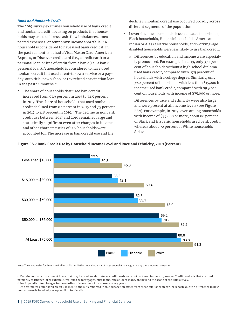#### *Bank and Nonbank Credit*

The 2019 survey examines household use of bank credit and nonbank credit, focusing on products that households may use to address cash-flow imbalances, unexpected expenses, or temporary income shortfalls.20 A household is considered to have used bank credit if, in the past 12 months, it had a Visa, MasterCard, American Express, or Discover credit card (i.e., a credit card) or a personal loan or line of credit from a bank (i.e., a bank personal loan). A household is considered to have used nonbank credit if it used a rent-to-own service or a payday, auto title, pawn shop, or tax refund anticipation loan in the past 12 months.<sup>21</sup>

**•** The share of households that used bank credit increased from 67.9 percent in 2015 to 72.5 percent in 2019. The share of households that used nonbank credit declined from 8.1 percent in 2015 and 7.5 percent in 2017 to 4.8 percent in 2019.<sup>22</sup> The decline in nonbank credit use between 2017 and 2019 remained large and statistically significant even after changes in income and other characteristics of U.S. households were accounted for. The increase in bank credit use and the

decline in nonbank credit use occurred broadly across different segments of the population.

- **•** Lower-income households, less-educated households, Black households, Hispanic households, American Indian or Alaska Native households, and working-age disabled households were less likely to use bank credit.
	- » Differences by education and income were especially pronounced. For example, in 2019, only 37.1 percent of households without a high school diploma used bank credit, compared with 87.5 percent of households with a college degree. Similarly, only 37.0 percent of households with less than \$15,000 in income used bank credit, compared with 89.9 percent of households with income of \$75,000 or more.
	- » Differences by race and ethnicity were also large and were present at all income levels (see Figure ES.7). For example, in 2019, even among households with income of \$75,000 or more, about 80 percent of Black and Hispanic households used bank credit, whereas about 90 percent of White households did so.



#### **Figure ES.7 Bank Credit Use by Household Income Level and Race and Ethnicity, 2019 (Percent)**

Note: The sample size for American Indian or Alaska Native households is not large enough to disaggregate by these income categories.

20 Certain nonbank installment loans that may be used for short-term credit needs were not captured in the 2019 survey. Credit products that are used primarily to finance large expenditures, such as mortgages, auto loans, and student loans, are beyond the scope of the 2019 survey. <sup>21</sup> See Appendix 2 for changes in the wording of some questions across survey years.

22 The estimates of nonbank credit use in 2017 and 2015 reported in this subsection differ from those published in earlier reports due to a difference in how nonresponse is handled; see Appendix 1 for details.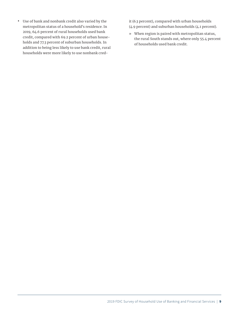**•** Use of bank and nonbank credit also varied by the metropolitan status of a household's residence. In 2019, 64.6 percent of rural households used bank credit, compared with 69.2 percent of urban households and 77.3 percent of suburban households. In addition to being less likely to use bank credit, rural households were more likely to use nonbank credit (6.3 percent), compared with urban households (4.9 percent) and suburban households (4.1 percent).

» When region is paired with metropolitan status, the rural South stands out, where only 55.4 percent of households used bank credit.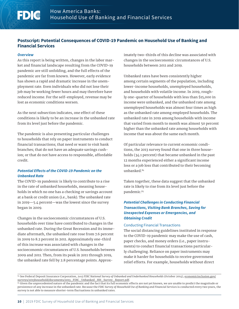# **Postscript: Potential Consequences of COVID-19 Pandemic on Household Use of Banking and Financial Services**

#### *Overview*

<span id="page-17-0"></span>FDC

As this report is being written, changes in the labor market and financial landscape resulting from the COVID-19 pandemic are still unfolding, and the full effects of the pandemic are far from known. However, early evidence has shown a rapid and dramatic increase in the unemployment rate. Even individuals who did not lose their job may be working fewer hours and may therefore have reduced income. For the self-employed, revenue may be lost as economic conditions worsen.

As the next subsection indicates, one effect of these conditions is likely to be an increase in the unbanked rate from its level just before the pandemic.

The pandemic is also presenting particular challenges to households that rely on paper instruments to conduct financial transactions; that need or want to visit bank branches; that do not have an adequate savings cushion; or that do not have access to responsible, affordable credit.

# *Potential Effects of the COVID-19 Pandemic on the Unbanked Rate*

The COVID-19 pandemic is likely to contribute to a rise in the rate of unbanked households, meaning households in which no one has a checking or savings account at a bank or credit union (i.e., bank). The unbanked rate in 2019—5.4 percent—was the lowest since the survey began in 2009.

Changes in the socioeconomic circumstances of U.S. households over time have contributed to changes in the unbanked rate. During the Great Recession and its immediate aftermath, the unbanked rate rose from 7.6 percent in 2009 to 8.2 percent in 2011. Approximately one-third of this increase was associated with changes in the socioeconomic circumstances of U.S. households between 2009 and 2011. Then, from its peak in 2011 through 2019, the unbanked rate fell by 2.8 percentage points. Approximately two-thirds of this decline was associated with changes in the socioeconomic circumstances of U.S. households between 2011 and 2019.

Unbanked rates have been consistently higher among certain segments of the population, including lower-income households, unemployed households, and households with volatile income. In 2019, roughly one-quarter of households with less than \$15,000 in income were unbanked, and the unbanked rate among unemployed households was almost four times as high as the unbanked rate among employed households. The unbanked rate in 2019 among households with income that varied from month to month was almost 50 percent higher than the unbanked rate among households with income that was about the same each month.

Of particular relevance to current economic conditions, the 2013 survey found that one in three households (34.1 percent) that became unbanked in the past 12 months experienced either a significant income loss or a job loss that contributed to their becoming unbanked.84

Taken together, these data suggest that the unbanked rate is likely to rise from its level just before the pandemic.85

# *Potential Challenges in Conducting Financial Transactions, Visiting Bank Branches, Saving for Unexpected Expenses or Emergencies, and Obtaining Credit*

#### Conducting Financial Transactions

The social distancing guidelines instituted in response to the COVID-19 pandemic may make the use of cash, paper checks, and money orders (i.e., paper instruments) to conduct financial transactions particularly challenging. Reliance on paper instruments may make it harder for households to receive government relief efforts. For example, households without direct

<sup>84</sup> See Federal Deposit Insurance Corporation, 2013 FDIC National Survey of Unbanked and Underbanked Households (October 2014), [economicinclusion.gov/](https://economicinclusion.gov/surveys/2013household/documents/2013_FDIC_Unbanked_HH_Survey_Report.pdf) [surveys/2013household/documents/2013\\_FDIC\\_Unbanked\\_HH\\_Survey\\_Report.pdf.](https://economicinclusion.gov/surveys/2013household/documents/2013_FDIC_Unbanked_HH_Survey_Report.pdf)

<sup>&</sup>lt;sup>85</sup> Given the unprecedented nature of the pandemic and the fact that its full economic effects are not yet known, we are unable to predict the magnitude or persistence of any increase in the unbanked rate. Because the *FDIC Survey of Household Use of Banking and Financial Services* is conducted every two years, the survey is not able to measure shorter-term fluctuations in unbanked rates.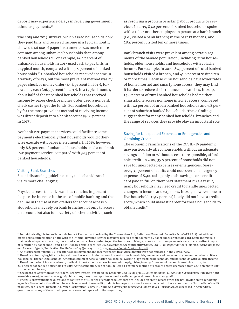deposit may experience delays in receiving government stimulus payments.<sup>86</sup>

The 2015 and 2017 surveys, which asked households how they paid bills and received income in a typical month, showed that use of paper instruments was much more common among unbanked households than among banked households.<sup>87</sup> For example, 66.1 percent of unbanked households in 2017 used cash to pay bills in a typical month, compared with 13.4 percent of banked households.88 Unbanked households received income in a variety of ways, but the most prevalent method was by paper check or money order (45.4 percent in 2017), followed by cash (26.5 percent in 2017). In a typical month, about half of the unbanked households that received income by paper check or money order used a nonbank check casher to get the funds. For banked households, by far the most prevalent method of receiving income was direct deposit into a bank account (90.8 percent in 2017).

Nonbank P2P payment services could facilitate some payments electronically that households would otherwise execute with paper instruments. In 2019, however, only 8.8 percent of unbanked households used a nonbank P2P payment service, compared with 32.3 percent of banked households.

#### Visiting Bank Branches

Social distancing guidelines may make bank branch visits more challenging.

Physical access to bank branches remains important despite the increase in the use of mobile banking and the decline in the use of bank tellers for account access.<sup>89</sup> Households may rely on bank branches not only to access an account but also for a variety of other activities, such

as resolving a problem or asking about products or services. In 2019, 83.0 percent of banked households spoke with a teller or other employee in person at a bank branch (i.e., visited a bank branch) in the past 12 months, and 28.4 percent visited ten or more times.

Bank branch visits were prevalent among certain segments of the banked population, including rural households, older households, and households with volatile income. For example, in 2019, 87.7 percent of rural banked households visited a branch, and 41.6 percent visited ten or more times. Because rural households have lower rates of home internet and smartphone access, they may find it harder to reduce their reliance on branches. In 2019, 14.8 percent of rural banked households had neither smartphone access nor home internet access, compared with 7.2 percent of urban banked households and 5.8 percent of suburban banked households. These findings suggest that for many banked households, branches and the range of services they provide play an important role.

# Saving for Unexpected Expenses or Emergencies and Obtaining Credit

The economic ramifications of the COVID-19 pandemic may particularly affect households without an adequate savings cushion or without access to responsible, affordable credit. In 2019, 35.8 percent of households did not save for unexpected expenses or emergencies. Moreover, 37 percent of adults could not cover an emergency expense of \$400 using only cash, savings, or a credit card paid in full on their next statement.<sup>90</sup> As a result, many households may need credit to handle unexpected changes in income and expenses. In 2017, however, one in five households (19.7 percent) likely did not have a credit score, which could make it harder for these households to obtain credit.91

<sup>86</sup> Individuals eligible for an Economic Impact Payment authorized by the Coronavirus Aid, Relief, and Economic Security Act (CARES Act) but without direct deposit information on file with the Internal Revenue Service may have received their payment by paper check or prepaid card. Some individuals that received a paper check may have used a nonbank check casher to get the funds. As of May 31, 2020, 120.1 million payments were made by direct deposit, 36.6 million by paper check, and 3.6 million by prepaid card; see U.S. Government Accountability Office, *COVID-19: Opportunities to Improve Federal Response and Recovery Efforts*, Publication No. GAO-20-625 (June 25, 2020), 219, [gao.gov/assets/710/707839.pdf](https://www.gao.gov/assets/710/707839.pdf).

<sup>87</sup> As discussed in Appendix 2, questions on bill payment and income receipt in a typical month were not repeated in the 2019 survey.

<sup>88</sup> Use of cash for paying bills in a typical month was also higher among lower-income households, less-educated households, younger households, Black households, Hispanic households, American Indian or Alaska Native households, working-age disabled households, and households with volatile income. 89 Use of mobile banking as a primary method of bank account access increased sharply, rising from 15.6 percent of banked households in 2017 to 34.0 percent of banked households in 2019. At the same time, use of bank tellers as a primary method of account access decreased from 24.3 percent in 2017 to 21.0 percent in 2019.

<sup>90</sup> See Board of Governors of the Federal Reserve System, Report on the Economic Well-Being of U.S. Households in 2019, Featuring Supplemental Data from April *2020* (May 2020), [federalreserve.gov/publications/files/2019-report-economic-well-being-us-households-202005.pdf](https://www.federalreserve.gov/publications/files/2019-report-economic-well-being-us-households-202005.pdf).

<sup>91</sup> The 2017 survey included questions to capture the full range of credit products that are included on credit records with the nationwide credit reporting agencies. Households that did not have at least one of these credit products in the past 12 months were likely not to have a credit score. For the list of credit products, see Federal Deposit Insurance Corporation, *2017 FDIC National Survey of Unbanked and Underbanked Households*. As discussed in Appendix 2, questions on many of these credit products were not repeated in the 2019 survey.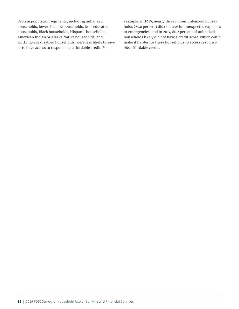Certain population segments, including unbanked households, lower-income households, less-educated households, Black households, Hispanic households, American Indian or Alaska Native households, and working-age disabled households, were less likely to save or to have access to responsible, affordable credit. For

example, in 2019, nearly three in four unbanked households (74.0 percent) did not save for unexpected expenses or emergencies, and in 2017, 80.2 percent of unbanked households likely did not have a credit score, which could make it harder for these households to access responsible, affordable credit.